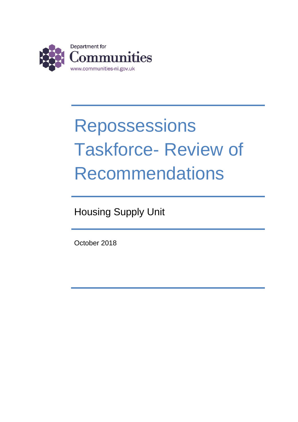

# Repossessions Taskforce- Review of Recommendations

Housing Supply Unit

October 2018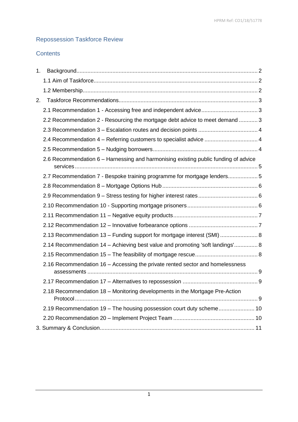## Repossession Taskforce Review

## **Contents**

| 1. |                                                                                     |  |
|----|-------------------------------------------------------------------------------------|--|
|    |                                                                                     |  |
|    |                                                                                     |  |
| 2. |                                                                                     |  |
|    |                                                                                     |  |
|    | 2.2 Recommendation 2 - Resourcing the mortgage debt advice to meet demand  3        |  |
|    |                                                                                     |  |
|    | 2.4 Recommendation 4 - Referring customers to specialist advice  4                  |  |
|    |                                                                                     |  |
|    | 2.6 Recommendation 6 - Harnessing and harmonising existing public funding of advice |  |
|    | 2.7 Recommendation 7 - Bespoke training programme for mortgage lenders 5            |  |
|    |                                                                                     |  |
|    |                                                                                     |  |
|    |                                                                                     |  |
|    |                                                                                     |  |
|    |                                                                                     |  |
|    | 2.13 Recommendation 13 - Funding support for mortgage interest (SMI)  8             |  |
|    | 2.14 Recommendation 14 – Achieving best value and promoting 'soft landings' 8       |  |
|    |                                                                                     |  |
|    | 2.16 Recommendation 16 - Accessing the private rented sector and homelessness       |  |
|    |                                                                                     |  |
|    | 2.18 Recommendation 18 - Monitoring developments in the Mortgage Pre-Action         |  |
|    | 2.19 Recommendation 19 - The housing possession court duty scheme 10                |  |
|    |                                                                                     |  |
|    |                                                                                     |  |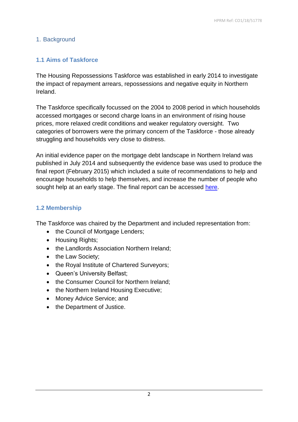## <span id="page-2-1"></span><span id="page-2-0"></span>1. Background

## **1.1 Aims of Taskforce**

The Housing Repossessions Taskforce was established in early 2014 to investigate the impact of repayment arrears, repossessions and negative equity in Northern Ireland.

The Taskforce specifically focussed on the 2004 to 2008 period in which households accessed mortgages or second charge loans in an environment of rising house prices, more relaxed credit conditions and weaker regulatory oversight. Two categories of borrowers were the primary concern of the Taskforce - those already struggling and households very close to distress.

An initial evidence paper on the mortgage debt landscape in Northern Ireland was published in July 2014 and subsequently the evidence base was used to produce the final report (February 2015) which included a suite of recommendations to help and encourage households to help themselves, and increase the number of people who sought help at an early stage. The final report can be accessed [here.](https://www.communities-ni.gov.uk/publications/housing-repossessions-taskforce-final-report)

## <span id="page-2-2"></span>**1.2 Membership**

The Taskforce was chaired by the Department and included representation from:

- the Council of Mortgage Lenders;
- Housing Rights;
- the Landlords Association Northern Ireland;
- the Law Society;
- the Royal Institute of Chartered Surveyors;
- Queen's University Belfast;
- the Consumer Council for Northern Ireland:
- the Northern Ireland Housing Executive;
- Money Advice Service; and
- the Department of Justice.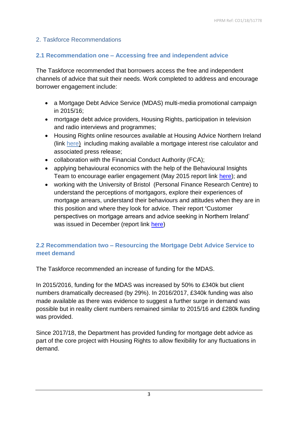## <span id="page-3-0"></span>2. Taskforce Recommendations

#### <span id="page-3-1"></span>**2.1 Recommendation one – Accessing free and independent advice**

<span id="page-3-2"></span>The Taskforce recommended that borrowers access the free and independent channels of advice that suit their needs. Work completed to address and encourage borrower engagement include:

- a Mortgage Debt Advice Service (MDAS) multi-media promotional campaign in 2015/16;
- mortgage debt advice providers, Housing Rights, participation in television and radio interviews and programmes;
- Housing Rights online resources available at Housing Advice Northern Ireland (link [here\)](https://www.housingadviceni.org/mortgage-debt-advice) including making available a mortgage interest rise calculator and associated press release;
- collaboration with the Financial Conduct Authority (FCA);
- applying behavioural economics with the help of the Behavioural Insights Team to encourage earlier engagement (May 2015 report link [here\)](https://www.communities-ni.gov.uk/publications/applying-behavioural-insights-encourage-earlier-engagement-borrowers-mortgage-arrears); and
- working with the University of Bristol (Personal Finance Research Centre) to understand the perceptions of mortgagors, explore their experiences of mortgage arrears, understand their behaviours and attitudes when they are in this position and where they look for advice. Their report **'**Customer perspectives on mortgage arrears and advice seeking in Northern Ireland' was issued in December (report link [here\)](https://www.communities-ni.gov.uk/publications/customer-perspectives-mortgage-arrears-and-advice-seeking-northern-ireland)

## **2.2 Recommendation two – Resourcing the Mortgage Debt Advice Service to meet demand**

The Taskforce recommended an increase of funding for the MDAS.

In 2015/2016, funding for the MDAS was increased by 50% to £340k but client numbers dramatically decreased (by 29%). In 2016/2017, £340k funding was also made available as there was evidence to suggest a further surge in demand was possible but in reality client numbers remained similar to 2015/16 and £280k funding was provided.

Since 2017/18, the Department has provided funding for mortgage debt advice as part of the core project with Housing Rights to allow flexibility for any fluctuations in demand.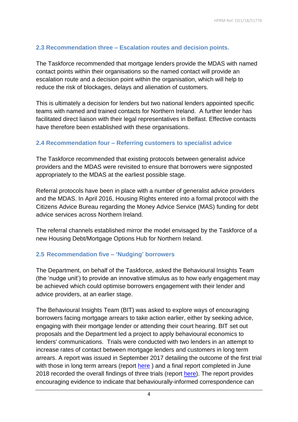#### <span id="page-4-0"></span>**2.3 Recommendation three – Escalation routes and decision points.**

The Taskforce recommended that mortgage lenders provide the MDAS with named contact points within their organisations so the named contact will provide an escalation route and a decision point within the organisation, which will help to reduce the risk of blockages, delays and alienation of customers.

This is ultimately a decision for lenders but two national lenders appointed specific teams with named and trained contacts for Northern Ireland. A further lender has facilitated direct liaison with their legal representatives in Belfast. Effective contacts have therefore been established with these organisations.

#### <span id="page-4-1"></span>**2.4 Recommendation four – Referring customers to specialist advice**

The Taskforce recommended that existing protocols between generalist advice providers and the MDAS were revisited to ensure that borrowers were signposted appropriately to the MDAS at the earliest possible stage.

Referral protocols have been in place with a number of generalist advice providers and the MDAS. In April 2016, Housing Rights entered into a formal protocol with the Citizens Advice Bureau regarding the Money Advice Service (MAS) funding for debt advice services across Northern Ireland.

The referral channels established mirror the model envisaged by the Taskforce of a new Housing Debt/Mortgage Options Hub for Northern Ireland.

#### <span id="page-4-2"></span>**2.5 Recommendation five – 'Nudging' borrowers**

The Department, on behalf of the Taskforce, asked the Behavioural Insights Team (the 'nudge unit') to provide an innovative stimulus as to how early engagement may be achieved which could optimise borrowers engagement with their lender and advice providers, at an earlier stage.

The Behavioural Insights Team (BIT) was asked to explore ways of encouraging borrowers facing mortgage arrears to take action earlier, either by seeking advice, engaging with their mortgage lender or attending their court hearing. BIT set out proposals and the Department led a project to apply behavioural economics to lenders' communications. Trials were conducted with two lenders in an attempt to increase rates of contact between mortgage lenders and customers in long term arrears. A report was issued in September 2017 detailing the outcome of the first trial with those in long term arrears (report [here](https://www.communities-ni.gov.uk/publications/testing-behaviourally-informed-messaging-increase-rates-contact-between-mortgage-lenders-and)) and a final report completed in June 2018 recorded the overall findings of three trials (report [here\)](https://www.bi.team/publications/testing-behaviourally-informed-messaging-to-increase-rates-of-contact-between-mortgage-lenders-and-customers-facing-arrears/). The report provides encouraging evidence to indicate that behaviourally-informed correspondence can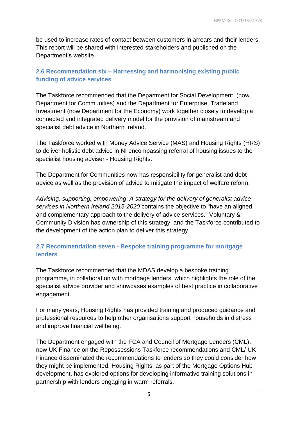be used to increase rates of contact between customers in arrears and their lenders. This report will be shared with interested stakeholders and published on the Department's website.

## <span id="page-5-0"></span>**2.6 Recommendation six – Harnessing and harmonising existing public funding of advice services**

The Taskforce recommended that the Department for Social Development, (now Department for Communities) and the Department for Enterprise, Trade and Investment (now Department for the Economy) work together closely to develop a connected and integrated delivery model for the provision of mainstream and specialist debt advice in Northern Ireland.

The Taskforce worked with Money Advice Service (MAS) and Housing Rights (HRS) to deliver holistic debt advice in NI encompassing referral of housing issues to the specialist housing adviser - Housing Rights.

The Department for Communities now has responsibility for generalist and debt advice as well as the provision of advice to mitigate the impact of welfare reform.

*Advising, supporting, empowering*: *A strategy for the delivery of generalist advice services in Northern Ireland 2015-2020* contains the objective to "have an aligned and complementary approach to the delivery of advice services." Voluntary & Community Division has ownership of this strategy, and the Taskforce contributed to the development of the action plan to deliver this strategy.

## <span id="page-5-1"></span>**2.7 Recommendation seven - Bespoke training programme for mortgage lenders**

The Taskforce recommended that the MDAS develop a bespoke training programme, in collaboration with mortgage lenders, which highlights the role of the specialist advice provider and showcases examples of best practice in collaborative engagement.

For many years, Housing Rights has provided training and produced guidance and professional resources to help other organisations support households in distress and improve financial wellbeing.

The Department engaged with the FCA and Council of Mortgage Lenders (CML), now UK Finance on the Repossessions Taskforce recommendations and CML/ UK Finance disseminated the recommendations to lenders so they could consider how they might be implemented. Housing Rights, as part of the Mortgage Options Hub development, has explored options for developing informative training solutions in partnership with lenders engaging in warm referrals.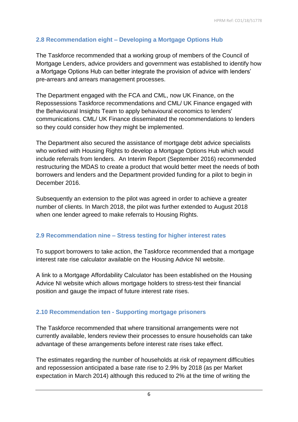## <span id="page-6-0"></span>**2.8 Recommendation eight – Developing a Mortgage Options Hub**

The Taskforce recommended that a working group of members of the Council of Mortgage Lenders, advice providers and government was established to identify how a Mortgage Options Hub can better integrate the provision of advice with lenders' pre-arrears and arrears management processes.

The Department engaged with the FCA and CML, now UK Finance, on the Repossessions Taskforce recommendations and CML/ UK Finance engaged with the Behavioural Insights Team to apply behavioural economics to lenders' communications. CML/ UK Finance disseminated the recommendations to lenders so they could consider how they might be implemented.

The Department also secured the assistance of mortgage debt advice specialists who worked with Housing Rights to develop a Mortgage Options Hub which would include referrals from lenders. An Interim Report (September 2016) recommended restructuring the MDAS to create a product that would better meet the needs of both borrowers and lenders and the Department provided funding for a pilot to begin in December 2016.

Subsequently an extension to the pilot was agreed in order to achieve a greater number of clients. In March 2018, the pilot was further extended to August 2018 when one lender agreed to make referrals to Housing Rights.

#### <span id="page-6-1"></span>**2.9 Recommendation nine – Stress testing for higher interest rates**

To support borrowers to take action, the Taskforce recommended that a mortgage interest rate rise calculator available on the Housing Advice NI website.

A link to a Mortgage Affordability Calculator has been established on the Housing Advice NI website which allows mortgage holders to stress-test their financial position and gauge the impact of future interest rate rises.

## <span id="page-6-2"></span>**2.10 Recommendation ten - Supporting mortgage prisoners**

The Taskforce recommended that where transitional arrangements were not currently available, lenders review their processes to ensure households can take advantage of these arrangements before interest rate rises take effect.

The estimates regarding the number of households at risk of repayment difficulties and repossession anticipated a base rate rise to 2.9% by 2018 (as per Market expectation in March 2014) although this reduced to 2% at the time of writing the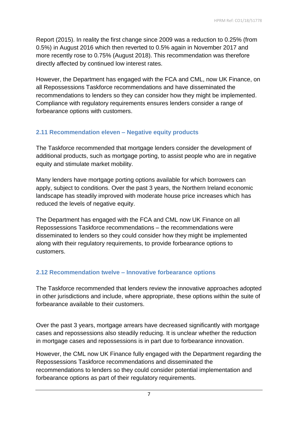Report (2015). In reality the first change since 2009 was a reduction to 0.25% (from 0.5%) in August 2016 which then reverted to 0.5% again in November 2017 and more recently rose to 0.75% (August 2018). This recommendation was therefore directly affected by continued low interest rates.

However, the Department has engaged with the FCA and CML, now UK Finance, on all Repossessions Taskforce recommendations and have disseminated the recommendations to lenders so they can consider how they might be implemented. Compliance with regulatory requirements ensures lenders consider a range of forbearance options with customers.

## <span id="page-7-0"></span>**2.11 Recommendation eleven – Negative equity products**

The Taskforce recommended that mortgage lenders consider the development of additional products, such as mortgage porting, to assist people who are in negative equity and stimulate market mobility.

Many lenders have mortgage porting options available for which borrowers can apply, subject to conditions. Over the past 3 years, the Northern Ireland economic landscape has steadily improved with moderate house price increases which has reduced the levels of negative equity.

The Department has engaged with the FCA and CML now UK Finance on all Repossessions Taskforce recommendations – the recommendations were disseminated to lenders so they could consider how they might be implemented along with their regulatory requirements, to provide forbearance options to customers.

## <span id="page-7-1"></span>**2.12 Recommendation twelve – Innovative forbearance options**

The Taskforce recommended that lenders review the innovative approaches adopted in other jurisdictions and include, where appropriate, these options within the suite of forbearance available to their customers.

Over the past 3 years, mortgage arrears have decreased significantly with mortgage cases and repossessions also steadily reducing. It is unclear whether the reduction in mortgage cases and repossessions is in part due to forbearance innovation.

However, the CML now UK Finance fully engaged with the Department regarding the Repossessions Taskforce recommendations and disseminated the recommendations to lenders so they could consider potential implementation and forbearance options as part of their regulatory requirements.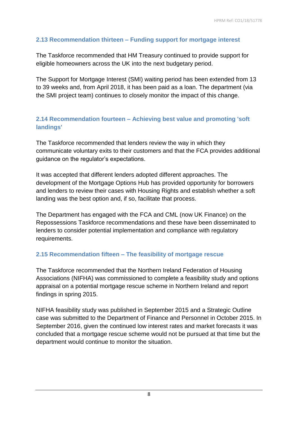## <span id="page-8-0"></span>**2.13 Recommendation thirteen – Funding support for mortgage interest**

The Taskforce recommended that HM Treasury continued to provide support for eligible homeowners across the UK into the next budgetary period.

The Support for Mortgage Interest (SMI) waiting period has been extended from 13 to 39 weeks and, from April 2018, it has been paid as a loan. The department (via the SMI project team) continues to closely monitor the impact of this change.

## <span id="page-8-1"></span>**2.14 Recommendation fourteen – Achieving best value and promoting 'soft landings'**

The Taskforce recommended that lenders review the way in which they communicate voluntary exits to their customers and that the FCA provides additional guidance on the regulator's expectations.

It was accepted that different lenders adopted different approaches. The development of the Mortgage Options Hub has provided opportunity for borrowers and lenders to review their cases with Housing Rights and establish whether a soft landing was the best option and, if so, facilitate that process.

The Department has engaged with the FCA and CML (now UK Finance) on the Repossessions Taskforce recommendations and these have been disseminated to lenders to consider potential implementation and compliance with regulatory requirements.

#### <span id="page-8-2"></span>**2.15 Recommendation fifteen – The feasibility of mortgage rescue**

The Taskforce recommended that the Northern Ireland Federation of Housing Associations (NIFHA) was commissioned to complete a feasibility study and options appraisal on a potential mortgage rescue scheme in Northern Ireland and report findings in spring 2015.

NIFHA feasibility study was published in September 2015 and a Strategic Outline case was submitted to the Department of Finance and Personnel in October 2015. In September 2016, given the continued low interest rates and market forecasts it was concluded that a mortgage rescue scheme would not be pursued at that time but the department would continue to monitor the situation.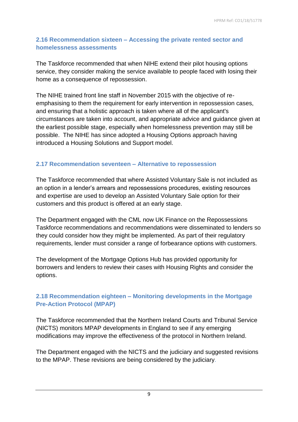## <span id="page-9-0"></span>**2.16 Recommendation sixteen – Accessing the private rented sector and homelessness assessments**

The Taskforce recommended that when NIHE extend their pilot housing options service, they consider making the service available to people faced with losing their home as a consequence of repossession.

The NIHE trained front line staff in November 2015 with the objective of reemphasising to them the requirement for early intervention in repossession cases, and ensuring that a holistic approach is taken where all of the applicant's circumstances are taken into account, and appropriate advice and guidance given at the earliest possible stage, especially when homelessness prevention may still be possible. The NIHE has since adopted a Housing Options approach having introduced a Housing Solutions and Support model.

## <span id="page-9-1"></span>**2.17 Recommendation seventeen – Alternative to repossession**

The Taskforce recommended that where Assisted Voluntary Sale is not included as an option in a lender's arrears and repossessions procedures, existing resources and expertise are used to develop an Assisted Voluntary Sale option for their customers and this product is offered at an early stage.

The Department engaged with the CML now UK Finance on the Repossessions Taskforce recommendations and recommendations were disseminated to lenders so they could consider how they might be implemented. As part of their regulatory requirements, lender must consider a range of forbearance options with customers.

The development of the Mortgage Options Hub has provided opportunity for borrowers and lenders to review their cases with Housing Rights and consider the options.

## <span id="page-9-2"></span>**2.18 Recommendation eighteen – Monitoring developments in the Mortgage Pre-Action Protocol (MPAP)**

The Taskforce recommended that the Northern Ireland Courts and Tribunal Service (NICTS) monitors MPAP developments in England to see if any emerging modifications may improve the effectiveness of the protocol in Northern Ireland.

The Department engaged with the NICTS and the judiciary and suggested revisions to the MPAP. These revisions are being considered by the judiciary.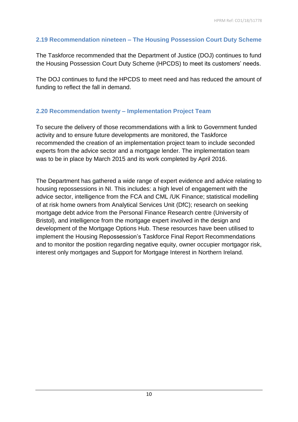## <span id="page-10-0"></span>**2.19 Recommendation nineteen – The Housing Possession Court Duty Scheme**

The Taskforce recommended that the Department of Justice (DOJ) continues to fund the Housing Possession Court Duty Scheme (HPCDS) to meet its customers' needs.

The DOJ continues to fund the HPCDS to meet need and has reduced the amount of funding to reflect the fall in demand.

## <span id="page-10-1"></span>**2.20 Recommendation twenty – Implementation Project Team**

To secure the delivery of those recommendations with a link to Government funded activity and to ensure future developments are monitored, the Taskforce recommended the creation of an implementation project team to include seconded experts from the advice sector and a mortgage lender. The implementation team was to be in place by March 2015 and its work completed by April 2016.

The Department has gathered a wide range of expert evidence and advice relating to housing repossessions in NI. This includes: a high level of engagement with the advice sector, intelligence from the FCA and CML /UK Finance; statistical modelling of at risk home owners from Analytical Services Unit (DfC); research on seeking mortgage debt advice from the Personal Finance Research centre (University of Bristol), and intelligence from the mortgage expert involved in the design and development of the Mortgage Options Hub. These resources have been utilised to implement the Housing Repossession's Taskforce Final Report Recommendations and to monitor the position regarding negative equity, owner occupier mortgagor risk, interest only mortgages and Support for Mortgage Interest in Northern Ireland.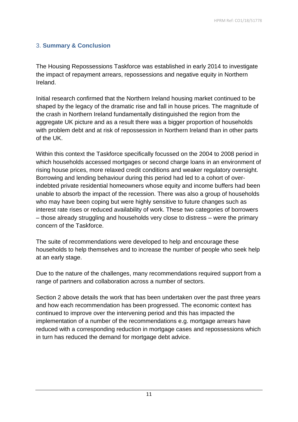## <span id="page-11-0"></span>3. **Summary & Conclusion**

The Housing Repossessions Taskforce was established in early 2014 to investigate the impact of repayment arrears, repossessions and negative equity in Northern Ireland.

Initial research confirmed that the Northern Ireland housing market continued to be shaped by the legacy of the dramatic rise and fall in house prices. The magnitude of the crash in Northern Ireland fundamentally distinguished the region from the aggregate UK picture and as a result there was a bigger proportion of households with problem debt and at risk of repossession in Northern Ireland than in other parts of the UK.

Within this context the Taskforce specifically focussed on the 2004 to 2008 period in which households accessed mortgages or second charge loans in an environment of rising house prices, more relaxed credit conditions and weaker regulatory oversight. Borrowing and lending behaviour during this period had led to a cohort of overindebted private residential homeowners whose equity and income buffers had been unable to absorb the impact of the recession. There was also a group of households who may have been coping but were highly sensitive to future changes such as interest rate rises or reduced availability of work. These two categories of borrowers – those already struggling and households very close to distress – were the primary concern of the Taskforce.

The suite of recommendations were developed to help and encourage these households to help themselves and to increase the number of people who seek help at an early stage.

Due to the nature of the challenges, many recommendations required support from a range of partners and collaboration across a number of sectors.

Section 2 above details the work that has been undertaken over the past three years and how each recommendation has been progressed. The economic context has continued to improve over the intervening period and this has impacted the implementation of a number of the recommendations e.g. mortgage arrears have reduced with a corresponding reduction in mortgage cases and repossessions which in turn has reduced the demand for mortgage debt advice.